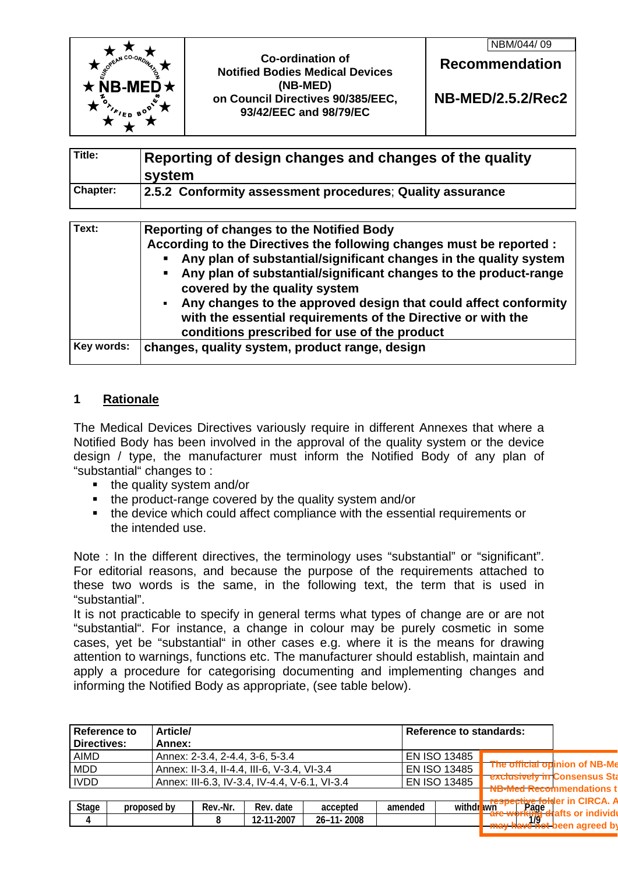|                        |                                                                         | NBM/044/09               |
|------------------------|-------------------------------------------------------------------------|--------------------------|
|                        | <b>Co-ordination of</b><br><b>Notified Bodies Medical Devices</b>       | <b>Recommendation</b>    |
| $\star$ NB-MED $\star$ | (NB-MED)<br>on Council Directives 90/385/EEC,<br>93/42/EEC and 98/79/EC | <b>NB-MED/2.5.2/Rec2</b> |

| Title:   | Reporting of design changes and changes of the quality<br>system |
|----------|------------------------------------------------------------------|
| Chapter: | 2.5.2 Conformity assessment procedures; Quality assurance        |

| Text:      | <b>Reporting of changes to the Notified Body</b><br>According to the Directives the following changes must be reported :<br>Any plan of substantial/significant changes in the quality system<br>Any plan of substantial/significant changes to the product-range<br>covered by the quality system |
|------------|----------------------------------------------------------------------------------------------------------------------------------------------------------------------------------------------------------------------------------------------------------------------------------------------------|
|            | Any changes to the approved design that could affect conformity<br>$\blacksquare$<br>with the essential requirements of the Directive or with the<br>conditions prescribed for use of the product                                                                                                  |
| Key words: | changes, quality system, product range, design                                                                                                                                                                                                                                                     |

#### **1 Rationale**

The Medical Devices Directives variously require in different Annexes that where a Notified Body has been involved in the approval of the quality system or the device design / type, the manufacturer must inform the Notified Body of any plan of "substantial" changes to :

- the quality system and/or
- the product-range covered by the quality system and/or
- the device which could affect compliance with the essential requirements or the intended use.

Note : In the different directives, the terminology uses "substantial" or "significant". For editorial reasons, and because the purpose of the requirements attached to these two words is the same, in the following text, the term that is used in "substantial".

It is not practicable to specify in general terms what types of change are or are not "substantial". For instance, a change in colour may be purely cosmetic in some cases, yet be "substantial" in other cases e.g. where it is the means for drawing attention to warnings, functions etc. The manufacturer should establish, maintain and apply a procedure for categorising documenting and implementing changes and informing the Notified Body as appropriate, (see table below).

| <b>Directives:</b><br>Annex:<br><b>AIMD</b><br>Annex: 2-3.4, 2-4.4, 3-6, 5-3.4<br><b>EN ISO 13485</b><br>The official opinion of NB-Me<br><b>MDD</b><br>EN ISO 13485<br>Annex: II-3.4, II-4.4, III-6, V-3.4, VI-3.4<br><b>exclusively in Consensus Sta</b><br><b>IVDD</b><br>EN ISO 13485<br>Annex: III-6.3, IV-3.4, IV-4.4, V-6.1, VI-3.4<br><b>NB-Med Recommendations t</b> | <b>Reference to</b> | <b>Article/</b> |  |  | <b>Reference to standards:</b> |  |
|-------------------------------------------------------------------------------------------------------------------------------------------------------------------------------------------------------------------------------------------------------------------------------------------------------------------------------------------------------------------------------|---------------------|-----------------|--|--|--------------------------------|--|
|                                                                                                                                                                                                                                                                                                                                                                               |                     |                 |  |  |                                |  |
|                                                                                                                                                                                                                                                                                                                                                                               |                     |                 |  |  |                                |  |
|                                                                                                                                                                                                                                                                                                                                                                               |                     |                 |  |  |                                |  |
|                                                                                                                                                                                                                                                                                                                                                                               |                     |                 |  |  |                                |  |
|                                                                                                                                                                                                                                                                                                                                                                               |                     |                 |  |  |                                |  |
| withdrawn<br>withdrawn.com/support/<br>Stage<br>"Page: "<br>"Page drafts or individ"<br>Rev.-Nr.<br>Rev. date<br>accepted<br>amended<br>proposed by                                                                                                                                                                                                                           |                     |                 |  |  |                                |  |
| 12-11-2007<br>26-11-2008<br>$\frac{1}{9}$ and of marrial<br>4                                                                                                                                                                                                                                                                                                                 |                     |                 |  |  |                                |  |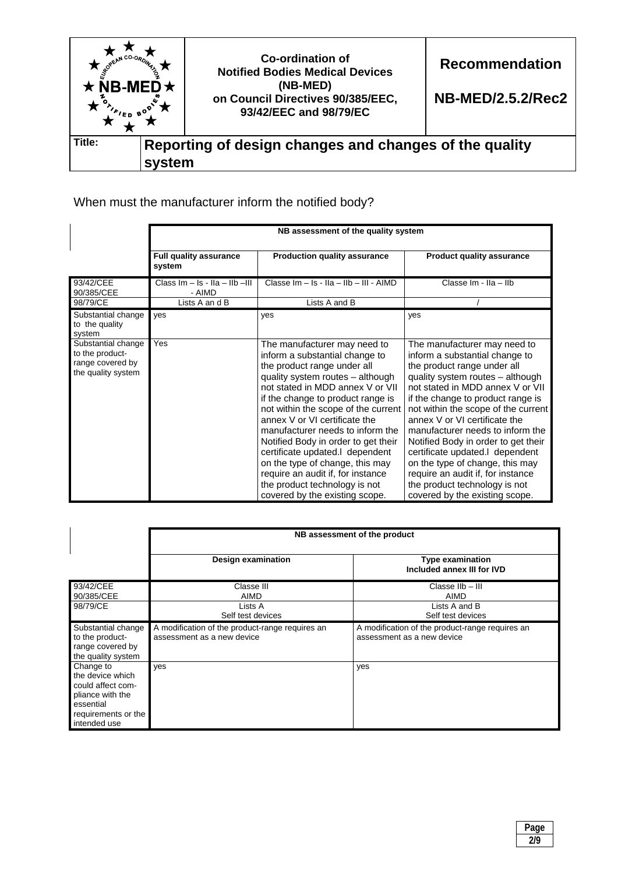

# When must the manufacturer inform the notified body?

|                                                                                 | NB assessment of the quality system        |                                                                                                                                                                                                                                                                                                                                                                                                                                                                                                                                             |                                                                                                                                                                                                                                                                                                                                                                                                                                                                                                                                             |  |
|---------------------------------------------------------------------------------|--------------------------------------------|---------------------------------------------------------------------------------------------------------------------------------------------------------------------------------------------------------------------------------------------------------------------------------------------------------------------------------------------------------------------------------------------------------------------------------------------------------------------------------------------------------------------------------------------|---------------------------------------------------------------------------------------------------------------------------------------------------------------------------------------------------------------------------------------------------------------------------------------------------------------------------------------------------------------------------------------------------------------------------------------------------------------------------------------------------------------------------------------------|--|
|                                                                                 | <b>Full quality assurance</b><br>system    | <b>Production quality assurance</b>                                                                                                                                                                                                                                                                                                                                                                                                                                                                                                         | <b>Product quality assurance</b>                                                                                                                                                                                                                                                                                                                                                                                                                                                                                                            |  |
| 93/42/CEE<br>90/385/CEE                                                         | Class $Im - Is - IIA - IIB -III$<br>- AIMD | Classe Im - Is - IIa - IIb - III - AIMD                                                                                                                                                                                                                                                                                                                                                                                                                                                                                                     | Classe Im - IIa - IIb                                                                                                                                                                                                                                                                                                                                                                                                                                                                                                                       |  |
| 98/79/CE                                                                        | Lists A an d B                             | Lists A and B                                                                                                                                                                                                                                                                                                                                                                                                                                                                                                                               |                                                                                                                                                                                                                                                                                                                                                                                                                                                                                                                                             |  |
| Substantial change<br>to the quality<br>system                                  | yes                                        | yes                                                                                                                                                                                                                                                                                                                                                                                                                                                                                                                                         | yes                                                                                                                                                                                                                                                                                                                                                                                                                                                                                                                                         |  |
| Substantial change<br>to the product-<br>range covered by<br>the quality system | Yes                                        | The manufacturer may need to<br>inform a substantial change to<br>the product range under all<br>quality system routes - although<br>not stated in MDD annex V or VII<br>if the change to product range is<br>not within the scope of the current<br>annex V or VI certificate the<br>manufacturer needs to inform the<br>Notified Body in order to get their<br>certificate updated.I dependent<br>on the type of change, this may<br>require an audit if, for instance<br>the product technology is not<br>covered by the existing scope. | The manufacturer may need to<br>inform a substantial change to<br>the product range under all<br>quality system routes - although<br>not stated in MDD annex V or VII<br>if the change to product range is<br>not within the scope of the current<br>annex V or VI certificate the<br>manufacturer needs to inform the<br>Notified Body in order to get their<br>certificate updated.I dependent<br>on the type of change, this may<br>require an audit if, for instance<br>the product technology is not<br>covered by the existing scope. |  |

|                                                                                                                            | NB assessment of the product                                                  |                                                                               |  |  |
|----------------------------------------------------------------------------------------------------------------------------|-------------------------------------------------------------------------------|-------------------------------------------------------------------------------|--|--|
|                                                                                                                            | <b>Design examination</b>                                                     | <b>Type examination</b><br>Included annex III for IVD                         |  |  |
| 93/42/CEE<br>90/385/CEE                                                                                                    | Classe III<br><b>AIMD</b>                                                     | Classe IIb - III<br>AIMD                                                      |  |  |
| 98/79/CE                                                                                                                   | Lists A<br>Self test devices                                                  | Lists A and B<br>Self test devices                                            |  |  |
| Substantial change<br>to the product-<br>range covered by<br>the quality system                                            | A modification of the product-range requires an<br>assessment as a new device | A modification of the product-range requires an<br>assessment as a new device |  |  |
| Change to<br>the device which<br>could affect com-<br>pliance with the<br>essential<br>requirements or the<br>intended use | ves                                                                           | yes                                                                           |  |  |

| $\sim$<br>Page |
|----------------|
| 210            |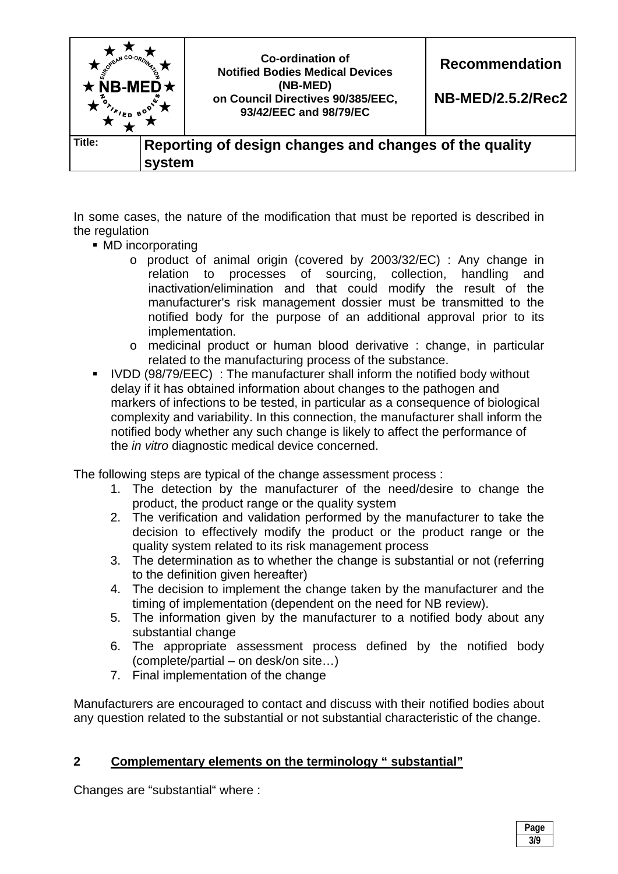

In some cases, the nature of the modification that must be reported is described in the regulation

- MD incorporating
	- o product of animal origin (covered by 2003/32/EC) : Any change in relation to processes of sourcing, collection, handling and inactivation/elimination and that could modify the result of the manufacturer's risk management dossier must be transmitted to the notified body for the purpose of an additional approval prior to its implementation.
	- o medicinal product or human blood derivative : change, in particular related to the manufacturing process of the substance.
- IVDD (98/79/EEC) : The manufacturer shall inform the notified body without delay if it has obtained information about changes to the pathogen and markers of infections to be tested, in particular as a consequence of biological complexity and variability. In this connection, the manufacturer shall inform the notified body whether any such change is likely to affect the performance of the *in vitro* diagnostic medical device concerned.

The following steps are typical of the change assessment process :

- 1. The detection by the manufacturer of the need/desire to change the product, the product range or the quality system
- 2. The verification and validation performed by the manufacturer to take the decision to effectively modify the product or the product range or the quality system related to its risk management process
- 3. The determination as to whether the change is substantial or not (referring to the definition given hereafter)
- 4. The decision to implement the change taken by the manufacturer and the timing of implementation (dependent on the need for NB review).
- 5. The information given by the manufacturer to a notified body about any substantial change
- 6. The appropriate assessment process defined by the notified body (complete/partial – on desk/on site…)
- 7. Final implementation of the change

Manufacturers are encouraged to contact and discuss with their notified bodies about any question related to the substantial or not substantial characteristic of the change.

# **2 Complementary elements on the terminology " substantial"**

Changes are "substantial" where :

| Page |
|------|
| 3/9  |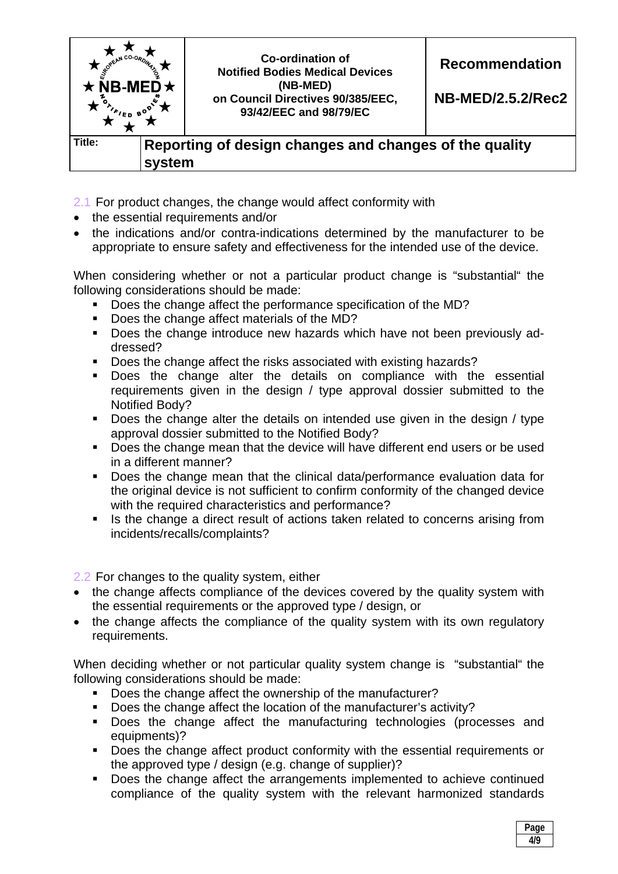

- 2.1 For product changes, the change would affect conformity with
- the essential requirements and/or
- the indications and/or contra-indications determined by the manufacturer to be appropriate to ensure safety and effectiveness for the intended use of the device.

When considering whether or not a particular product change is "substantial" the following considerations should be made:

- Does the change affect the performance specification of the MD?
- Does the change affect materials of the MD?
- **Does the change introduce new hazards which have not been previously ad**dressed?
- Does the change affect the risks associated with existing hazards?
- Does the change alter the details on compliance with the essential requirements given in the design / type approval dossier submitted to the Notified Body?
- Does the change alter the details on intended use given in the design / type approval dossier submitted to the Notified Body?
- **Does the change mean that the device will have different end users or be used** in a different manner?
- Does the change mean that the clinical data/performance evaluation data for the original device is not sufficient to confirm conformity of the changed device with the required characteristics and performance?
- Is the change a direct result of actions taken related to concerns arising from incidents/recalls/complaints?

2.2 For changes to the quality system, either

- the change affects compliance of the devices covered by the quality system with the essential requirements or the approved type / design, or
- the change affects the compliance of the quality system with its own regulatory requirements.

When deciding whether or not particular quality system change is "substantial" the following considerations should be made:

- Does the change affect the ownership of the manufacturer?
- Does the change affect the location of the manufacturer's activity?
- Does the change affect the manufacturing technologies (processes and equipments)?
- Does the change affect product conformity with the essential requirements or the approved type / design (e.g. change of supplier)?
- Does the change affect the arrangements implemented to achieve continued compliance of the quality system with the relevant harmonized standards

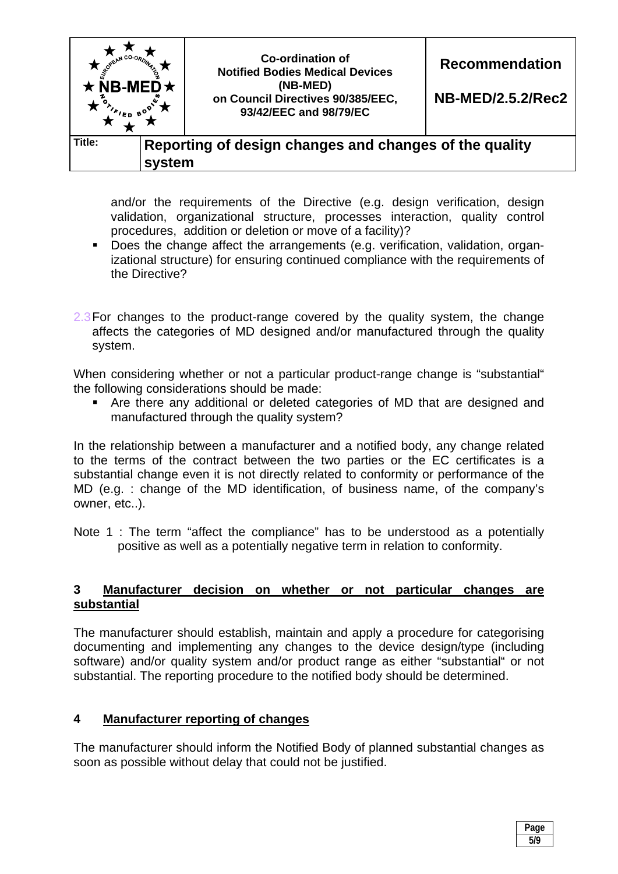

and/or the requirements of the Directive (e.g. design verification, design validation, organizational structure, processes interaction, quality control procedures, addition or deletion or move of a facility)?

- Does the change affect the arrangements (e.g. verification, validation, organizational structure) for ensuring continued compliance with the requirements of the Directive?
- 2.3 For changes to the product-range covered by the quality system, the change affects the categories of MD designed and/or manufactured through the quality system.

When considering whether or not a particular product-range change is "substantial" the following considerations should be made:

 Are there any additional or deleted categories of MD that are designed and manufactured through the quality system?

In the relationship between a manufacturer and a notified body, any change related to the terms of the contract between the two parties or the EC certificates is a substantial change even it is not directly related to conformity or performance of the MD (e.g. : change of the MD identification, of business name, of the company's owner, etc..).

Note 1 : The term "affect the compliance" has to be understood as a potentially positive as well as a potentially negative term in relation to conformity.

#### **3 Manufacturer decision on whether or not particular changes are substantial**

The manufacturer should establish, maintain and apply a procedure for categorising documenting and implementing any changes to the device design/type (including software) and/or quality system and/or product range as either "substantial" or not substantial. The reporting procedure to the notified body should be determined.

# **4 Manufacturer reporting of changes**

The manufacturer should inform the Notified Body of planned substantial changes as soon as possible without delay that could not be justified.

| яιю        |
|------------|
| E IO<br>IJ |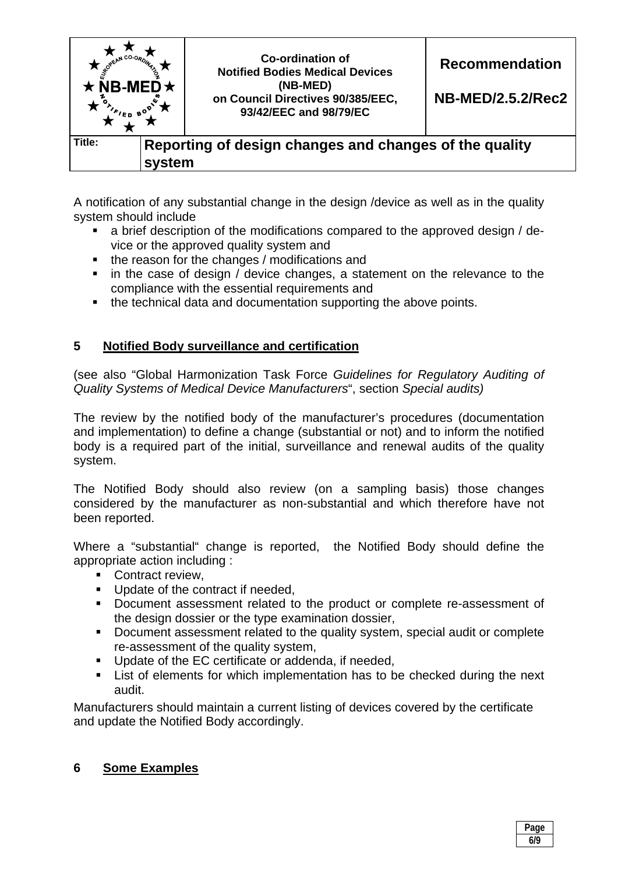

A notification of any substantial change in the design /device as well as in the quality system should include

- a brief description of the modifications compared to the approved design / device or the approved quality system and
- the reason for the changes / modifications and
- in the case of design / device changes, a statement on the relevance to the compliance with the essential requirements and
- the technical data and documentation supporting the above points.

# **5 Notified Body surveillance and certification**

(see also "Global Harmonization Task Force *Guidelines for Regulatory Auditing of Quality Systems of Medical Device Manufacturers*", section *Special audits)*

The review by the notified body of the manufacturer's procedures (documentation and implementation) to define a change (substantial or not) and to inform the notified body is a required part of the initial, surveillance and renewal audits of the quality system.

The Notified Body should also review (on a sampling basis) those changes considered by the manufacturer as non-substantial and which therefore have not been reported.

Where a "substantial" change is reported, the Notified Body should define the appropriate action including :

- Contract review.
- Update of the contract if needed,
- Document assessment related to the product or complete re-assessment of the design dossier or the type examination dossier,
- Document assessment related to the quality system, special audit or complete re-assessment of the quality system,
- **Update of the EC certificate or addenda, if needed,**
- List of elements for which implementation has to be checked during the next audit.

Manufacturers should maintain a current listing of devices covered by the certificate and update the Notified Body accordingly.

# **6 Some Examples**

| Page<br>-- |
|------------|
| 6/9        |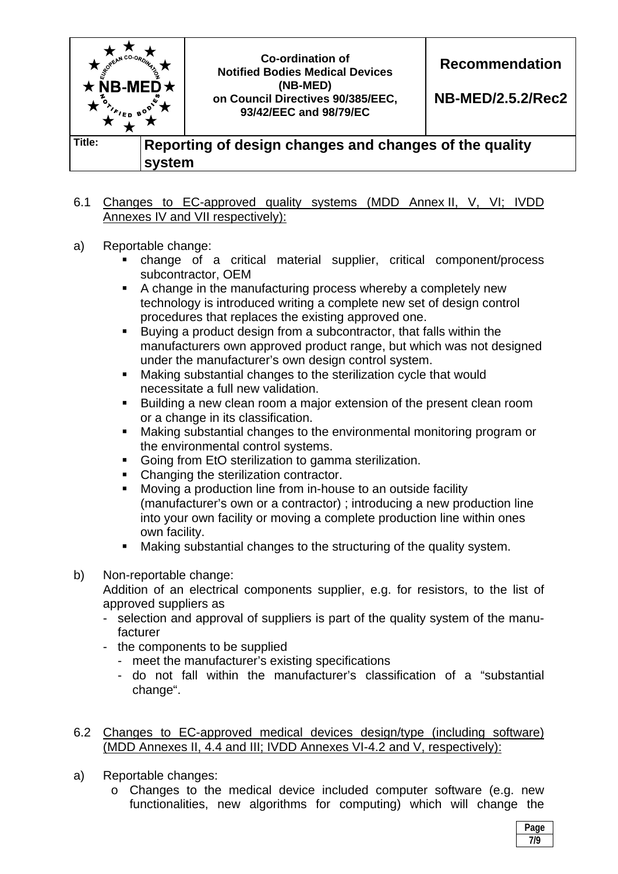

#### 6.1 Changes to EC-approved quality systems (MDD Annex II, V, VI; IVDD Annexes IV and VII respectively):

- a) Reportable change:
	- change of a critical material supplier, critical component/process subcontractor, OEM
	- A change in the manufacturing process whereby a completely new technology is introduced writing a complete new set of design control procedures that replaces the existing approved one.
	- Buying a product design from a subcontractor, that falls within the manufacturers own approved product range, but which was not designed under the manufacturer's own design control system.
	- Making substantial changes to the sterilization cycle that would necessitate a full new validation.
	- Building a new clean room a major extension of the present clean room or a change in its classification.
	- Making substantial changes to the environmental monitoring program or the environmental control systems.
	- Going from EtO sterilization to gamma sterilization.
	- Changing the sterilization contractor.
	- Moving a production line from in-house to an outside facility (manufacturer's own or a contractor) ; introducing a new production line into your own facility or moving a complete production line within ones own facility.
	- Making substantial changes to the structuring of the quality system.
- b) Non-reportable change:

 Addition of an electrical components supplier, e.g. for resistors, to the list of approved suppliers as

- selection and approval of suppliers is part of the quality system of the manufacturer
- the components to be supplied
	- meet the manufacturer's existing specifications
	- do not fall within the manufacturer's classification of a "substantial change".

6.2 Changes to EC-approved medical devices design/type (including software) (MDD Annexes II, 4.4 and III; IVDD Annexes VI-4.2 and V, respectively):

- a) Reportable changes:
	- o Changes to the medical device included computer software (e.g. new functionalities, new algorithms for computing) which will change the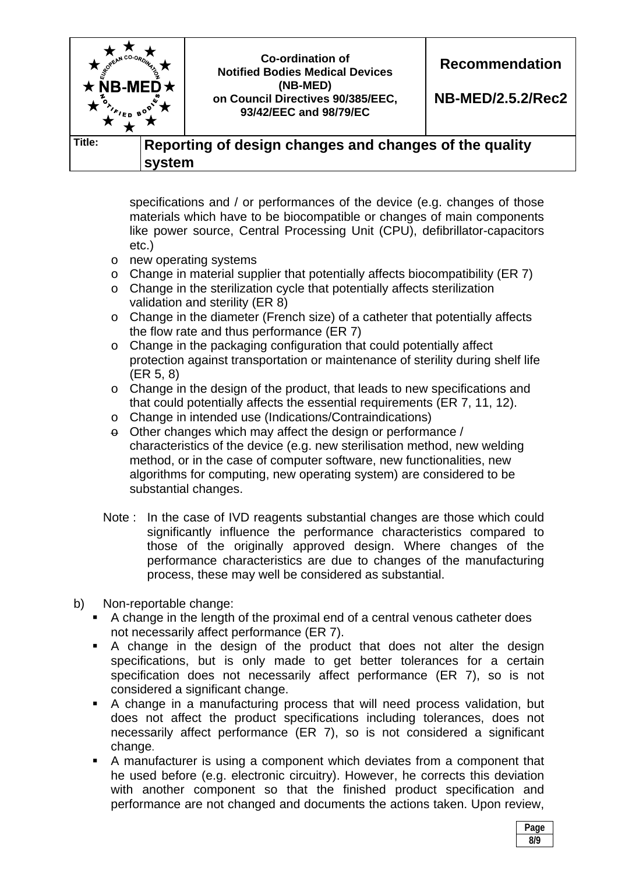

specifications and / or performances of the device (e.g. changes of those materials which have to be biocompatible or changes of main components like power source, Central Processing Unit (CPU), defibrillator-capacitors etc.)

- o new operating systems
- o Change in material supplier that potentially affects biocompatibility (ER 7)
- o Change in the sterilization cycle that potentially affects sterilization validation and sterility (ER 8)
- o Change in the diameter (French size) of a catheter that potentially affects the flow rate and thus performance (ER 7)
- o Change in the packaging configuration that could potentially affect protection against transportation or maintenance of sterility during shelf life (ER 5, 8)
- o Change in the design of the product, that leads to new specifications and that could potentially affects the essential requirements (ER 7, 11, 12).
- o Change in intended use (Indications/Contraindications)
- $\theta$  Other changes which may affect the design or performance / characteristics of the device (e.g. new sterilisation method, new welding method, or in the case of computer software, new functionalities, new algorithms for computing, new operating system) are considered to be substantial changes.
- Note : In the case of IVD reagents substantial changes are those which could significantly influence the performance characteristics compared to those of the originally approved design. Where changes of the performance characteristics are due to changes of the manufacturing process, these may well be considered as substantial.
- b) Non-reportable change:
	- A change in the length of the proximal end of a central venous catheter does not necessarily affect performance (ER 7).
	- A change in the design of the product that does not alter the design specifications, but is only made to get better tolerances for a certain specification does not necessarily affect performance (ER 7), so is not considered a significant change.
	- A change in a manufacturing process that will need process validation, but does not affect the product specifications including tolerances, does not necessarily affect performance (ER 7), so is not considered a significant change.
	- A manufacturer is using a component which deviates from a component that he used before (e.g. electronic circuitry). However, he corrects this deviation with another component so that the finished product specification and performance are not changed and documents the actions taken. Upon review,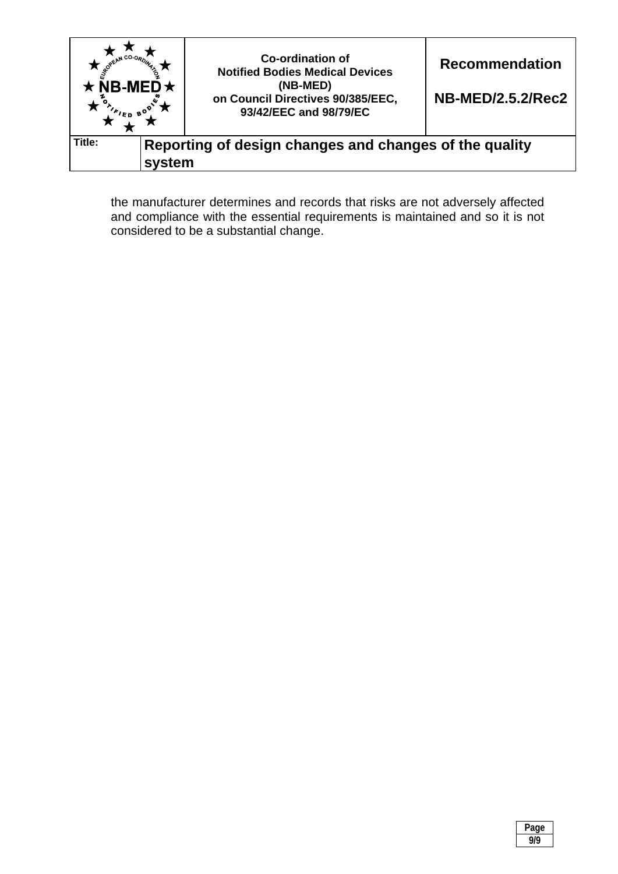

the manufacturer determines and records that risks are not adversely affected and compliance with the essential requirements is maintained and so it is not considered to be a substantial change.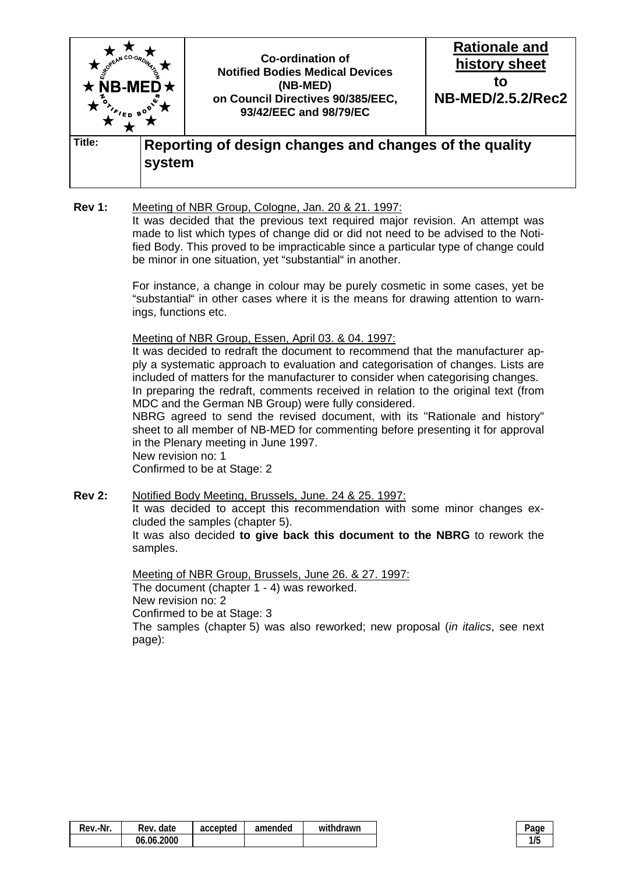

**Rev 1:** Meeting of NBR Group, Cologne, Jan. 20 & 21. 1997: It was decided that the previous text required major revision. An attempt was made to list which types of change did or did not need to be advised to the Notified Body. This proved to be impracticable since a particular type of change could be minor in one situation, yet "substantial" in another.

> For instance, a change in colour may be purely cosmetic in some cases, yet be "substantial" in other cases where it is the means for drawing attention to warnings, functions etc.

Meeting of NBR Group, Essen, April 03. & 04. 1997:

 It was decided to redraft the document to recommend that the manufacturer apply a systematic approach to evaluation and categorisation of changes. Lists are included of matters for the manufacturer to consider when categorising changes. In preparing the redraft, comments received in relation to the original text (from MDC and the German NB Group) were fully considered.

 NBRG agreed to send the revised document, with its "Rationale and history" sheet to all member of NB-MED for commenting before presenting it for approval in the Plenary meeting in June 1997.

 New revision no: 1 Confirmed to be at Stage: 2

**Rev 2:** Notified Body Meeting, Brussels, June. 24 & 25. 1997:

 It was decided to accept this recommendation with some minor changes excluded the samples (chapter 5).

 It was also decided **to give back this document to the NBRG** to rework the samples.

 Meeting of NBR Group, Brussels, June 26. & 27. 1997: The document (chapter 1 - 4) was reworked. New revision no: 2 Confirmed to be at Stage: 3 The samples (chapter 5) was also reworked; new proposal (*in italics*, see next page):

| Rev.-Nr.<br>date<br>Rev. | accepted | amended | withdrawn |  |
|--------------------------|----------|---------|-----------|--|
| 06.06.2000               |          |         |           |  |

| .,<br>٠ |  |
|---------|--|
|         |  |
|         |  |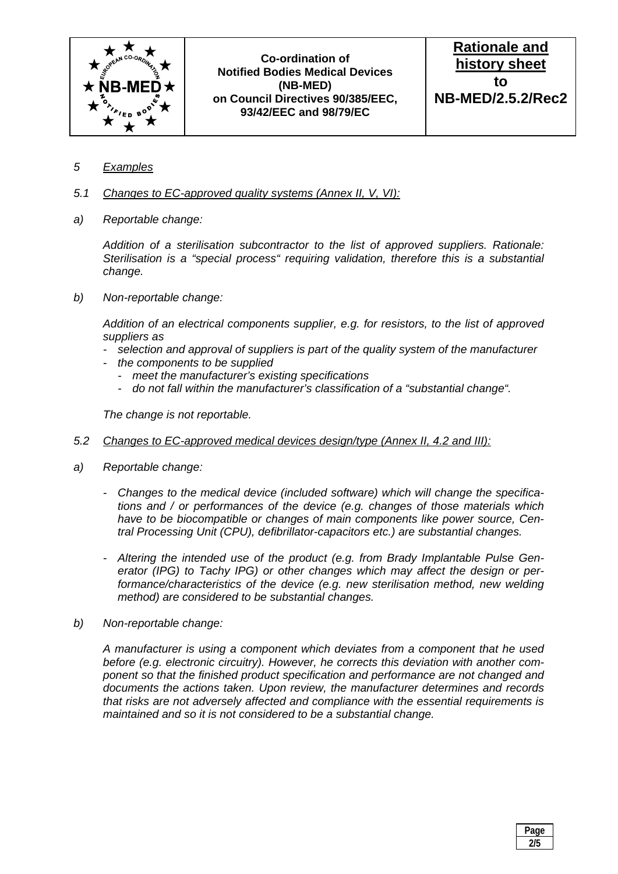

**Rationale and history sheet to NB-MED/2.5.2/Rec2**

- *5 Examples*
- *5.1 Changes to EC-approved quality systems (Annex II, V, VI):*
- *a) Reportable change:*

 *Addition of a sterilisation subcontractor to the list of approved suppliers. Rationale: Sterilisation is a "special process" requiring validation, therefore this is a substantial change.* 

*b) Non-reportable change:* 

 *Addition of an electrical components supplier, e.g. for resistors, to the list of approved suppliers as* 

- *selection and approval of suppliers is part of the quality system of the manufacturer*
- *the components to be supplied* 
	- *meet the manufacturer's existing specifications*
	- *do not fall within the manufacturer's classification of a "substantial change".*

 *The change is not reportable.* 

- *5.2 Changes to EC-approved medical devices design/type (Annex II, 4.2 and III):*
- *a) Reportable change:* 
	- *Changes to the medical device (included software) which will change the specifications and / or performances of the device (e.g. changes of those materials which have to be biocompatible or changes of main components like power source, Central Processing Unit (CPU), defibrillator-capacitors etc.) are substantial changes.*
	- *Altering the intended use of the product (e.g. from Brady Implantable Pulse Generator (IPG) to Tachy IPG) or other changes which may affect the design or performance/characteristics of the device (e.g. new sterilisation method, new welding method) are considered to be substantial changes.*
- *b) Non-reportable change:*

 *A manufacturer is using a component which deviates from a component that he used before (e.g. electronic circuitry). However, he corrects this deviation with another component so that the finished product specification and performance are not changed and documents the actions taken. Upon review, the manufacturer determines and records that risks are not adversely affected and compliance with the essential requirements is maintained and so it is not considered to be a substantial change.* 

| Page |
|------|
| 2/5  |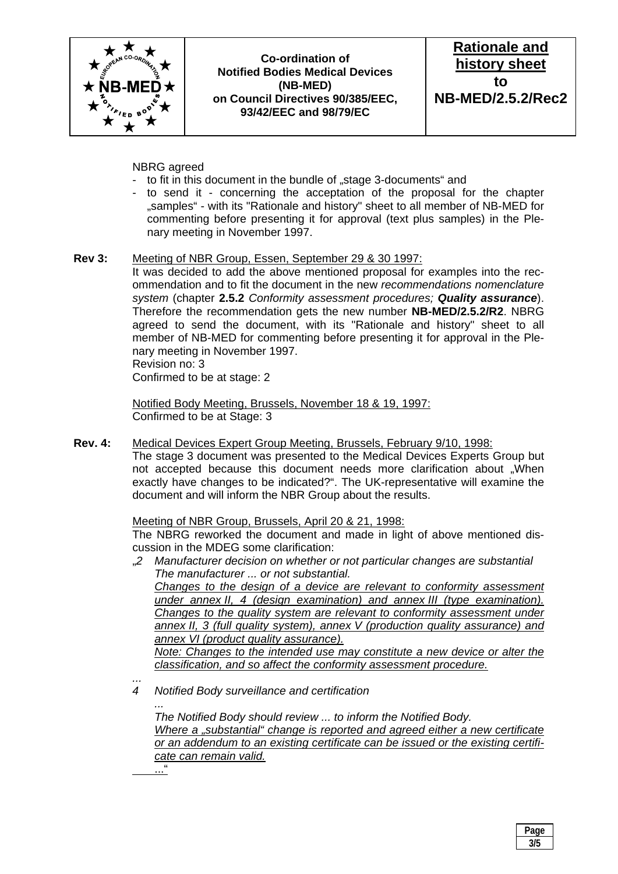



#### NBRG agreed

- to fit in this document in the bundle of "stage 3-documents" and
- to send it concerning the acceptation of the proposal for the chapter "samples" - with its "Rationale and history" sheet to all member of NB-MED for commenting before presenting it for approval (text plus samples) in the Plenary meeting in November 1997.

#### **Rev 3:** Meeting of NBR Group, Essen, September 29 & 30 1997:

 It was decided to add the above mentioned proposal for examples into the recommendation and to fit the document in the new *recommendations nomenclature system* (chapter **2.5.2** *Conformity assessment procedures; Quality assurance*). Therefore the recommendation gets the new number **NB-MED/2.5.2/R2**. NBRG agreed to send the document, with its "Rationale and history" sheet to all member of NB-MED for commenting before presenting it for approval in the Plenary meeting in November 1997.

Revision no: 3

..."

Confirmed to be at stage: 2

 Notified Body Meeting, Brussels, November 18 & 19, 1997: Confirmed to be at Stage: 3

**Rev. 4:** Medical Devices Expert Group Meeting, Brussels, February 9/10, 1998:

 The stage 3 document was presented to the Medical Devices Experts Group but not accepted because this document needs more clarification about .When exactly have changes to be indicated?". The UK-representative will examine the document and will inform the NBR Group about the results.

#### Meeting of NBR Group, Brussels, April 20 & 21, 1998:

 The NBRG reworked the document and made in light of above mentioned discussion in the MDEG some clarification:

"*2 Manufacturer decision on whether or not particular changes are substantial The manufacturer ... or not substantial.* 

 *Changes to the design of a device are relevant to conformity assessment under annex II, 4 (design examination) and annex III (type examination). Changes to the quality system are relevant to conformity assessment under annex II, 3 (full quality system), annex V (production quality assurance) and annex VI (product quality assurance).* 

 *Note: Changes to the intended use may constitute a new device or alter the classification, and so affect the conformity assessment procedure.* 

*... 4 Notified Body surveillance and certification* 

 *... The Notified Body should review ... to inform the Notified Body. Where a "substantial" change is reported and agreed either a new certificate or an addendum to an existing certificate can be issued or the existing certificate can remain valid.* 

 **Page 1 3/5**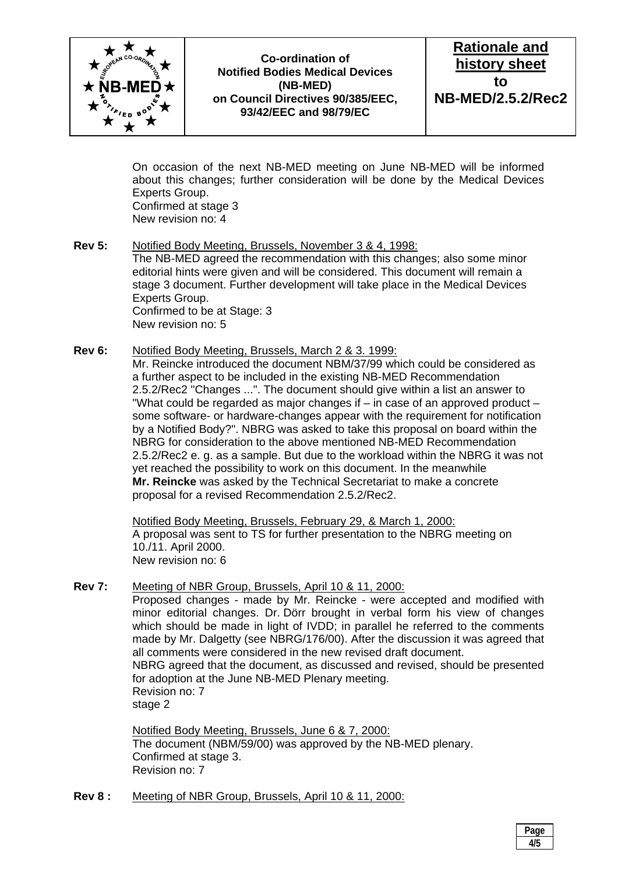

**Rationale and history sheet to NB-MED/2.5.2/Rec2**

 On occasion of the next NB-MED meeting on June NB-MED will be informed about this changes; further consideration will be done by the Medical Devices Experts Group. Confirmed at stage 3 New revision no: 4

- **Rev 5:** Notified Body Meeting, Brussels, November 3 & 4, 1998: The NB-MED agreed the recommendation with this changes; also some minor editorial hints were given and will be considered. This document will remain a stage 3 document. Further development will take place in the Medical Devices Experts Group. Confirmed to be at Stage: 3 New revision no: 5
- **Rev 6:** Notified Body Meeting, Brussels, March 2 & 3. 1999:

 Mr. Reincke introduced the document NBM/37/99 which could be considered as a further aspect to be included in the existing NB-MED Recommendation 2.5.2/Rec2 "Changes ...". The document should give within a list an answer to "What could be regarded as major changes if – in case of an approved product – some software- or hardware-changes appear with the requirement for notification by a Notified Body?". NBRG was asked to take this proposal on board within the NBRG for consideration to the above mentioned NB-MED Recommendation 2.5.2/Rec2 e. g. as a sample. But due to the workload within the NBRG it was not yet reached the possibility to work on this document. In the meanwhile **Mr. Reincke** was asked by the Technical Secretariat to make a concrete proposal for a revised Recommendation 2.5.2/Rec2.

 Notified Body Meeting, Brussels, February 29, & March 1, 2000: A proposal was sent to TS for further presentation to the NBRG meeting on 10./11. April 2000. New revision no: 6

**Rev 7:** Meeting of NBR Group, Brussels, April 10 & 11, 2000: Proposed changes - made by Mr. Reincke - were accepted and modified with minor editorial changes. Dr. Dörr brought in verbal form his view of changes which should be made in light of IVDD; in parallel he referred to the comments made by Mr. Dalgetty (see NBRG/176/00). After the discussion it was agreed that all comments were considered in the new revised draft document. NBRG agreed that the document, as discussed and revised, should be presented for adoption at the June NB-MED Plenary meeting. Revision no: 7 stage 2

> Notified Body Meeting, Brussels, June 6 & 7, 2000: The document (NBM/59/00) was approved by the NB-MED plenary. Confirmed at stage 3. Revision no: 7

**Rev 8 :** Meeting of NBR Group, Brussels, April 10 & 11, 2000:

 **Page 1 4/5**